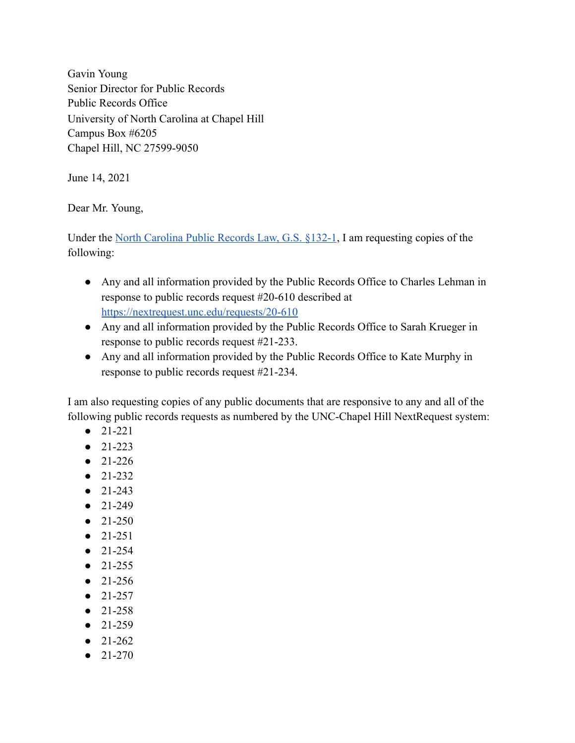Gavin Young Senior Director for Public Records Public Records Office University of North Carolina at Chapel Hill Campus Box #6205 Chapel Hill, NC 27599-9050

June 14, 2021

Dear Mr. Young,

Under the North [Carolina](https://www.ncleg.net/EnactedLegislation/Statutes/PDF/BySection/Chapter_132/GS_132-1.pdf) Public Records Law, G.S. §132-1, I am requesting copies of the following:

- Any and all information provided by the Public Records Office to Charles Lehman in response to public records request #20-610 described at <https://nextrequest.unc.edu/requests/20-610>
- Any and all information provided by the Public Records Office to Sarah Krueger in response to public records request #21-233.
- Any and all information provided by the Public Records Office to Kate Murphy in response to public records request #21-234.

I am also requesting copies of any public documents that are responsive to any and all of the following public records requests as numbered by the UNC-Chapel Hill NextRequest system:

- 21-221
- $21-223$
- 21-226
- 21-232
- 21-243
- 21-249
- $\bullet$  21-250
- 21-251
- 21-254
- 21-255
- 21-256
- 21-257
- 21-258
- 21-259
- 21-262
- 21-270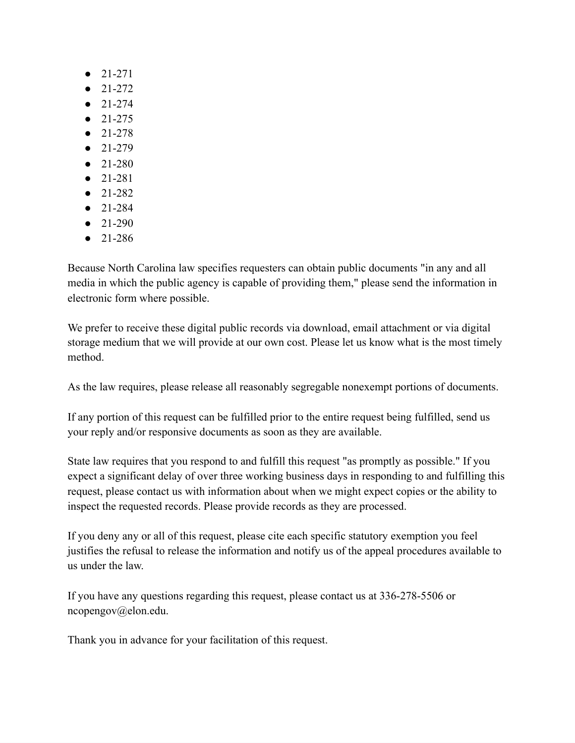- 21-271
- $\bullet$  21-272
- 21-274
- 21-275
- 21-278
- 21-279
- 21-280
- 21-281
- 21-282
- 21-284
- $\bullet$  21-290
- 21-286

Because North Carolina law specifies requesters can obtain public documents "in any and all media in which the public agency is capable of providing them," please send the information in electronic form where possible.

We prefer to receive these digital public records via download, email attachment or via digital storage medium that we will provide at our own cost. Please let us know what is the most timely method.

As the law requires, please release all reasonably segregable nonexempt portions of documents.

If any portion of this request can be fulfilled prior to the entire request being fulfilled, send us your reply and/or responsive documents as soon as they are available.

State law requires that you respond to and fulfill this request "as promptly as possible." If you expect a significant delay of over three working business days in responding to and fulfilling this request, please contact us with information about when we might expect copies or the ability to inspect the requested records. Please provide records as they are processed.

If you deny any or all of this request, please cite each specific statutory exemption you feel justifies the refusal to release the information and notify us of the appeal procedures available to us under the law.

If you have any questions regarding this request, please contact us at 336-278-5506 or ncopengov@elon.edu.

Thank you in advance for your facilitation of this request.